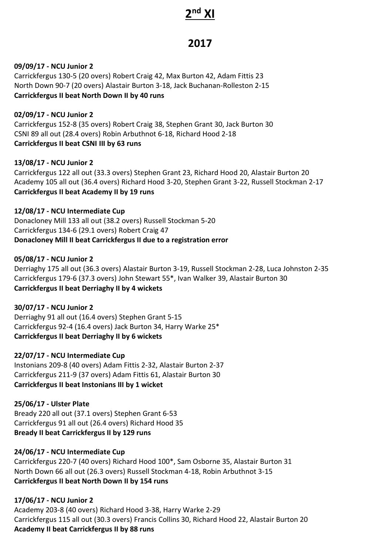# **2 nd XI**

# **2017**

### **09/09/17 - NCU Junior 2**

Carrickfergus 130-5 (20 overs) Robert Craig 42, Max Burton 42, Adam Fittis 23 North Down 90-7 (20 overs) Alastair Burton 3-18, Jack Buchanan-Rolleston 2-15 **Carrickfergus II beat North Down II by 40 runs**

**02/09/17 - NCU Junior 2** Carrickfergus 152-8 (35 overs) Robert Craig 38, Stephen Grant 30, Jack Burton 30 CSNI 89 all out (28.4 overs) Robin Arbuthnot 6-18, Richard Hood 2-18 **Carrickfergus II beat CSNI III by 63 runs**

#### **13/08/17 - NCU Junior 2**

Carrickfergus 122 all out (33.3 overs) Stephen Grant 23, Richard Hood 20, Alastair Burton 20 Academy 105 all out (36.4 overs) Richard Hood 3-20, Stephen Grant 3-22, Russell Stockman 2-17 **Carrickfergus II beat Academy II by 19 runs**

# **12/08/17 - NCU Intermediate Cup**

Donacloney Mill 133 all out (38.2 overs) Russell Stockman 5-20 Carrickfergus 134-6 (29.1 overs) Robert Craig 47 **Donacloney Mill II beat Carrickfergus II due to a registration error**

#### **05/08/17 - NCU Junior 2**

Derriaghy 175 all out (36.3 overs) Alastair Burton 3-19, Russell Stockman 2-28, Luca Johnston 2-35 Carrickfergus 179-6 (37.3 overs) John Stewart 55\*, Ivan Walker 39, Alastair Burton 30 **Carrickfergus II beat Derriaghy II by 4 wickets**

# **30/07/17 - NCU Junior 2**

Derriaghy 91 all out (16.4 overs) Stephen Grant 5-15 Carrickfergus 92-4 (16.4 overs) Jack Burton 34, Harry Warke 25\* **Carrickfergus II beat Derriaghy II by 6 wickets**

# **22/07/17 - NCU Intermediate Cup**

Instonians 209-8 (40 overs) Adam Fittis 2-32, Alastair Burton 2-37 Carrickfergus 211-9 (37 overs) Adam Fittis 61, Alastair Burton 30 **Carrickfergus II beat Instonians III by 1 wicket**

#### **25/06/17 - Ulster Plate**

Bready 220 all out (37.1 overs) Stephen Grant 6-53 Carrickfergus 91 all out (26.4 overs) Richard Hood 35 **Bready II beat Carrickfergus II by 129 runs**

# **24/06/17 - NCU Intermediate Cup**

Carrickfergus 220-7 (40 overs) Richard Hood 100\*, Sam Osborne 35, Alastair Burton 31 North Down 66 all out (26.3 overs) Russell Stockman 4-18, Robin Arbuthnot 3-15 **Carrickfergus II beat North Down II by 154 runs**

# **17/06/17 - NCU Junior 2**

Academy 203-8 (40 overs) Richard Hood 3-38, Harry Warke 2-29 Carrickfergus 115 all out (30.3 overs) Francis Collins 30, Richard Hood 22, Alastair Burton 20 **Academy II beat Carrickfergus II by 88 runs**